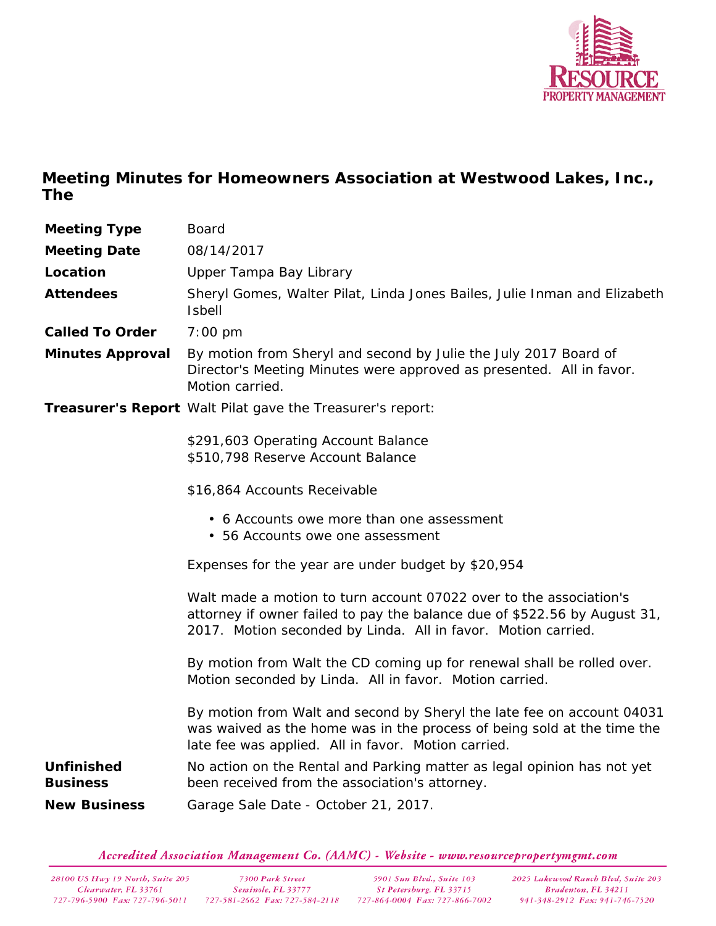

**Meeting Minutes for Homeowners Association at Westwood Lakes, Inc., The**

| Meeting Type                  | <b>Board</b>                                                                                                                                                                                                     |
|-------------------------------|------------------------------------------------------------------------------------------------------------------------------------------------------------------------------------------------------------------|
| <b>Meeting Date</b>           | 08/14/2017                                                                                                                                                                                                       |
| Location                      | Upper Tampa Bay Library                                                                                                                                                                                          |
| Attendees                     | Sheryl Gomes, Walter Pilat, Linda Jones Bailes, Julie Inman and Elizabeth<br><b>Isbell</b>                                                                                                                       |
| Called To Order               | $7:00 \text{ pm}$                                                                                                                                                                                                |
| Minutes Approval              | By motion from Sheryl and second by Julie the July 2017 Board of<br>Director's Meeting Minutes were approved as presented. All in favor.<br>Motion carried.                                                      |
|                               | Treasurer's Report Walt Pilat gave the Treasurer's report:                                                                                                                                                       |
|                               | \$291,603 Operating Account Balance<br>\$510,798 Reserve Account Balance                                                                                                                                         |
|                               | \$16,864 Accounts Receivable                                                                                                                                                                                     |
|                               | • 6 Accounts owe more than one assessment<br>• 56 Accounts owe one assessment                                                                                                                                    |
|                               | Expenses for the year are under budget by \$20,954                                                                                                                                                               |
|                               | Walt made a motion to turn account 07022 over to the association's<br>attorney if owner failed to pay the balance due of \$522.56 by August 31,<br>2017. Motion seconded by Linda. All in favor. Motion carried. |
|                               | By motion from Walt the CD coming up for renewal shall be rolled over.<br>Motion seconded by Linda. All in favor. Motion carried.                                                                                |
|                               | By motion from Walt and second by Sheryl the late fee on account 04031<br>was waived as the home was in the process of being sold at the time the<br>late fee was applied. All in favor. Motion carried.         |
| Unfinished<br><b>Business</b> | No action on the Rental and Parking matter as legal opinion has not yet<br>been received from the association's attorney.                                                                                        |
| <b>New Business</b>           | Garage Sale Date - October 21, 2017.                                                                                                                                                                             |

Accredited Association Management Co. (AAMC) - Website - www.resourcepropertymgmt.com